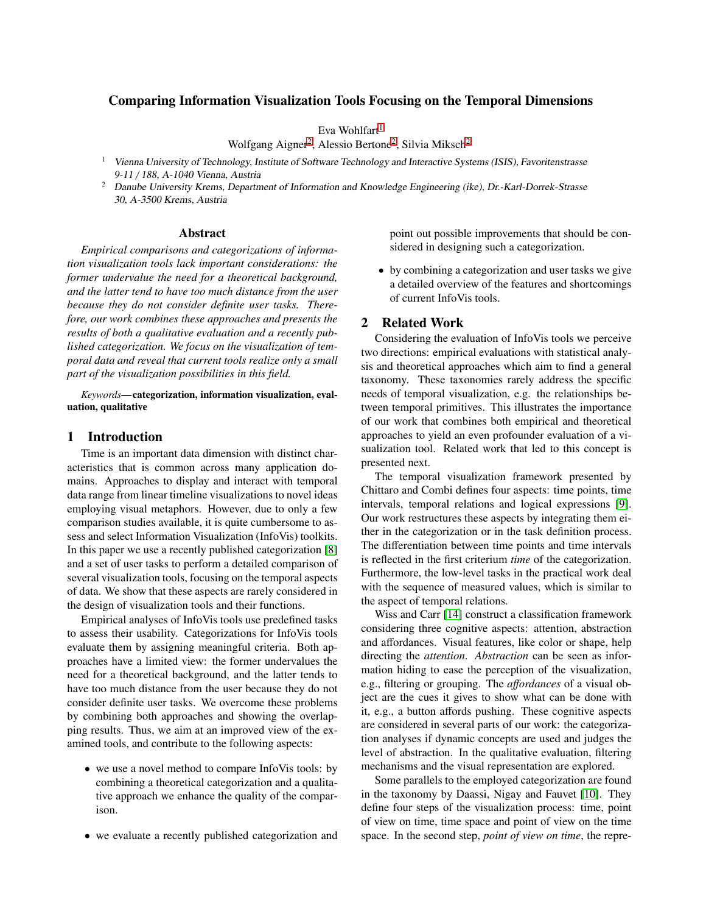# Comparing Information Visualization Tools Focusing on the Temporal Dimensions

Eva Wohlfart $1$ 

Wolfgang Aigner<sup>[2](#page-0-1)</sup>, Alessio Bertone<sup>2</sup>, Silvia Miksch<sup>2</sup>

- <span id="page-0-0"></span><sup>1</sup> Vienna University of Technology, Institute of Software Technology and Interactive Systems (ISIS), Favoritenstrasse 9-11 / 188, A-1040 Vienna, Austria
- <span id="page-0-1"></span><sup>2</sup> Danube University Krems, Department of Information and Knowledge Engineering (ike), Dr.-Karl-Dorrek-Strasse 30, A-3500 Krems, Austria

### Abstract

*Empirical comparisons and categorizations of information visualization tools lack important considerations: the former undervalue the need for a theoretical background, and the latter tend to have too much distance from the user because they do not consider definite user tasks. Therefore, our work combines these approaches and presents the results of both a qualitative evaluation and a recently published categorization. We focus on the visualization of temporal data and reveal that current tools realize only a small part of the visualization possibilities in this field.*

*Keywords*—categorization, information visualization, evaluation, qualitative

# 1 Introduction

Time is an important data dimension with distinct characteristics that is common across many application domains. Approaches to display and interact with temporal data range from linear timeline visualizations to novel ideas employing visual metaphors. However, due to only a few comparison studies available, it is quite cumbersome to assess and select Information Visualization (InfoVis) toolkits. In this paper we use a recently published categorization [\[8\]](#page-5-0) and a set of user tasks to perform a detailed comparison of several visualization tools, focusing on the temporal aspects of data. We show that these aspects are rarely considered in the design of visualization tools and their functions.

Empirical analyses of InfoVis tools use predefined tasks to assess their usability. Categorizations for InfoVis tools evaluate them by assigning meaningful criteria. Both approaches have a limited view: the former undervalues the need for a theoretical background, and the latter tends to have too much distance from the user because they do not consider definite user tasks. We overcome these problems by combining both approaches and showing the overlapping results. Thus, we aim at an improved view of the examined tools, and contribute to the following aspects:

- we use a novel method to compare InfoVis tools: by combining a theoretical categorization and a qualitative approach we enhance the quality of the comparison.
- we evaluate a recently published categorization and

point out possible improvements that should be considered in designing such a categorization.

• by combining a categorization and user tasks we give a detailed overview of the features and shortcomings of current InfoVis tools.

# 2 Related Work

Considering the evaluation of InfoVis tools we perceive two directions: empirical evaluations with statistical analysis and theoretical approaches which aim to find a general taxonomy. These taxonomies rarely address the specific needs of temporal visualization, e.g. the relationships between temporal primitives. This illustrates the importance of our work that combines both empirical and theoretical approaches to yield an even profounder evaluation of a visualization tool. Related work that led to this concept is presented next.

The temporal visualization framework presented by Chittaro and Combi defines four aspects: time points, time intervals, temporal relations and logical expressions [\[9\]](#page-5-1). Our work restructures these aspects by integrating them either in the categorization or in the task definition process. The differentiation between time points and time intervals is reflected in the first criterium *time* of the categorization. Furthermore, the low-level tasks in the practical work deal with the sequence of measured values, which is similar to the aspect of temporal relations.

Wiss and Carr [\[14\]](#page-5-2) construct a classification framework considering three cognitive aspects: attention, abstraction and affordances. Visual features, like color or shape, help directing the *attention*. *Abstraction* can be seen as information hiding to ease the perception of the visualization, e.g., filtering or grouping. The *a*ff*ordances* of a visual object are the cues it gives to show what can be done with it, e.g., a button affords pushing. These cognitive aspects are considered in several parts of our work: the categorization analyses if dynamic concepts are used and judges the level of abstraction. In the qualitative evaluation, filtering mechanisms and the visual representation are explored.

Some parallels to the employed categorization are found in the taxonomy by Daassi, Nigay and Fauvet [\[10\]](#page-5-3). They define four steps of the visualization process: time, point of view on time, time space and point of view on the time space. In the second step, *point of view on time*, the repre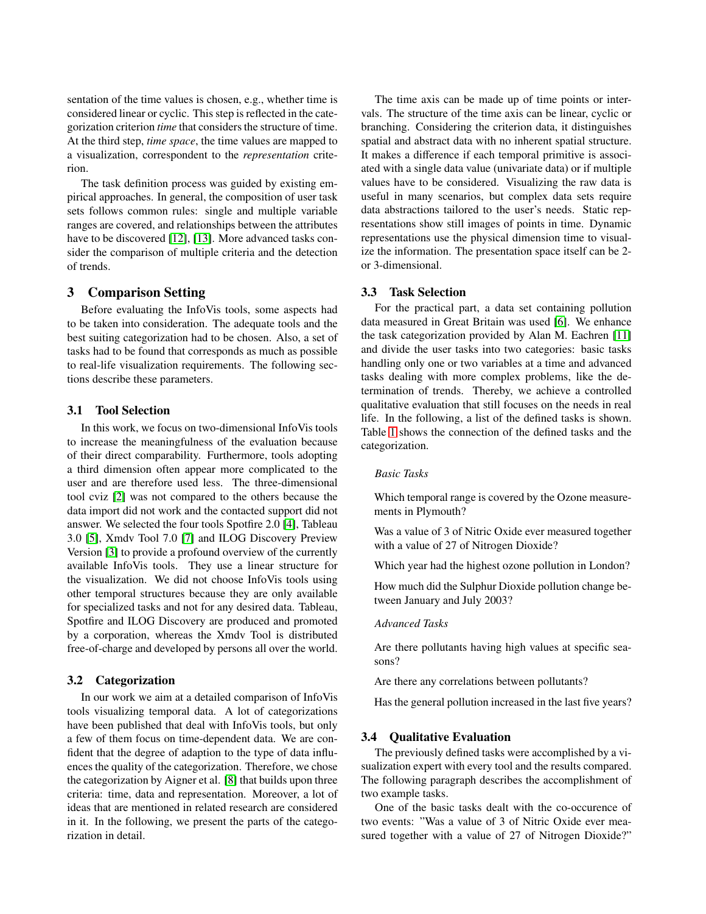sentation of the time values is chosen, e.g., whether time is considered linear or cyclic. This step is reflected in the categorization criterion *time* that considers the structure of time. At the third step, *time space*, the time values are mapped to a visualization, correspondent to the *representation* criterion.

The task definition process was guided by existing empirical approaches. In general, the composition of user task sets follows common rules: single and multiple variable ranges are covered, and relationships between the attributes have to be discovered [\[12\]](#page-5-4), [\[13\]](#page-5-5). More advanced tasks consider the comparison of multiple criteria and the detection of trends.

# 3 Comparison Setting

Before evaluating the InfoVis tools, some aspects had to be taken into consideration. The adequate tools and the best suiting categorization had to be chosen. Also, a set of tasks had to be found that corresponds as much as possible to real-life visualization requirements. The following sections describe these parameters.

### 3.1 Tool Selection

In this work, we focus on two-dimensional InfoVis tools to increase the meaningfulness of the evaluation because of their direct comparability. Furthermore, tools adopting a third dimension often appear more complicated to the user and are therefore used less. The three-dimensional tool cviz [\[2\]](#page-5-6) was not compared to the others because the data import did not work and the contacted support did not answer. We selected the four tools Spotfire 2.0 [\[4\]](#page-5-7), Tableau 3.0 [\[5\]](#page-5-8), Xmdv Tool 7.0 [\[7\]](#page-5-9) and ILOG Discovery Preview Version [\[3\]](#page-5-10) to provide a profound overview of the currently available InfoVis tools. They use a linear structure for the visualization. We did not choose InfoVis tools using other temporal structures because they are only available for specialized tasks and not for any desired data. Tableau, Spotfire and ILOG Discovery are produced and promoted by a corporation, whereas the Xmdv Tool is distributed free-of-charge and developed by persons all over the world.

### 3.2 Categorization

In our work we aim at a detailed comparison of InfoVis tools visualizing temporal data. A lot of categorizations have been published that deal with InfoVis tools, but only a few of them focus on time-dependent data. We are confident that the degree of adaption to the type of data influences the quality of the categorization. Therefore, we chose the categorization by Aigner et al. [\[8\]](#page-5-0) that builds upon three criteria: time, data and representation. Moreover, a lot of ideas that are mentioned in related research are considered in it. In the following, we present the parts of the categorization in detail.

The time axis can be made up of time points or intervals. The structure of the time axis can be linear, cyclic or branching. Considering the criterion data, it distinguishes spatial and abstract data with no inherent spatial structure. It makes a difference if each temporal primitive is associated with a single data value (univariate data) or if multiple values have to be considered. Visualizing the raw data is useful in many scenarios, but complex data sets require data abstractions tailored to the user's needs. Static representations show still images of points in time. Dynamic representations use the physical dimension time to visualize the information. The presentation space itself can be 2 or 3-dimensional.

# 3.3 Task Selection

For the practical part, a data set containing pollution data measured in Great Britain was used [\[6\]](#page-5-11). We enhance the task categorization provided by Alan M. Eachren [\[11\]](#page-5-12) and divide the user tasks into two categories: basic tasks handling only one or two variables at a time and advanced tasks dealing with more complex problems, like the determination of trends. Thereby, we achieve a controlled qualitative evaluation that still focuses on the needs in real life. In the following, a list of the defined tasks is shown. Table [1](#page-2-0) shows the connection of the defined tasks and the categorization.

### *Basic Tasks*

Which temporal range is covered by the Ozone measurements in Plymouth?

Was a value of 3 of Nitric Oxide ever measured together with a value of 27 of Nitrogen Dioxide?

Which year had the highest ozone pollution in London?

How much did the Sulphur Dioxide pollution change between January and July 2003?

#### *Advanced Tasks*

Are there pollutants having high values at specific seasons?

Are there any correlations between pollutants?

Has the general pollution increased in the last five years?

## 3.4 Qualitative Evaluation

The previously defined tasks were accomplished by a visualization expert with every tool and the results compared. The following paragraph describes the accomplishment of two example tasks.

One of the basic tasks dealt with the co-occurence of two events: "Was a value of 3 of Nitric Oxide ever measured together with a value of 27 of Nitrogen Dioxide?"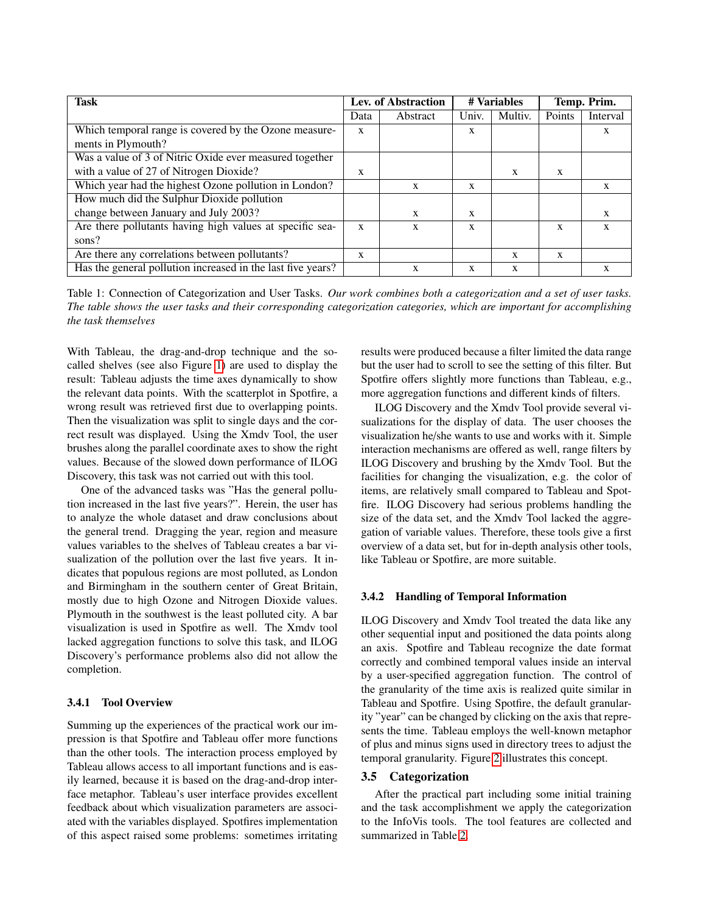| <b>Task</b>                                                 |      | Lev. of Abstraction | # Variables |         | Temp. Prim. |          |
|-------------------------------------------------------------|------|---------------------|-------------|---------|-------------|----------|
|                                                             | Data | Abstract            | Univ.       | Multiv. | Points      | Interval |
| Which temporal range is covered by the Ozone measure-       |      |                     | X           |         |             | X        |
| ments in Plymouth?                                          |      |                     |             |         |             |          |
| Was a value of 3 of Nitric Oxide ever measured together     |      |                     |             |         |             |          |
| with a value of 27 of Nitrogen Dioxide?                     | X    |                     |             | X       | X           |          |
| Which year had the highest Ozone pollution in London?       |      | X                   | X           |         |             | X        |
| How much did the Sulphur Dioxide pollution                  |      |                     |             |         |             |          |
| change between January and July 2003?                       |      | X                   | X           |         |             |          |
| Are there pollutants having high values at specific sea-    |      | X                   | X           |         | X           | X        |
| sons?                                                       |      |                     |             |         |             |          |
| Are there any correlations between pollutants?              | X    |                     |             | X       | X           |          |
| Has the general pollution increased in the last five years? |      | X                   | X           | X       |             | X        |

<span id="page-2-0"></span>Table 1: Connection of Categorization and User Tasks. *Our work combines both a categorization and a set of user tasks. The table shows the user tasks and their corresponding categorization categories, which are important for accomplishing the task themselves*

With Tableau, the drag-and-drop technique and the socalled shelves (see also Figure [1\)](#page-3-0) are used to display the result: Tableau adjusts the time axes dynamically to show the relevant data points. With the scatterplot in Spotfire, a wrong result was retrieved first due to overlapping points. Then the visualization was split to single days and the correct result was displayed. Using the Xmdv Tool, the user brushes along the parallel coordinate axes to show the right values. Because of the slowed down performance of ILOG Discovery, this task was not carried out with this tool.

One of the advanced tasks was "Has the general pollution increased in the last five years?". Herein, the user has to analyze the whole dataset and draw conclusions about the general trend. Dragging the year, region and measure values variables to the shelves of Tableau creates a bar visualization of the pollution over the last five years. It indicates that populous regions are most polluted, as London and Birmingham in the southern center of Great Britain, mostly due to high Ozone and Nitrogen Dioxide values. Plymouth in the southwest is the least polluted city. A bar visualization is used in Spotfire as well. The Xmdv tool lacked aggregation functions to solve this task, and ILOG Discovery's performance problems also did not allow the completion.

### 3.4.1 Tool Overview

Summing up the experiences of the practical work our impression is that Spotfire and Tableau offer more functions than the other tools. The interaction process employed by Tableau allows access to all important functions and is easily learned, because it is based on the drag-and-drop interface metaphor. Tableau's user interface provides excellent feedback about which visualization parameters are associated with the variables displayed. Spotfires implementation of this aspect raised some problems: sometimes irritating

results were produced because a filter limited the data range but the user had to scroll to see the setting of this filter. But Spotfire offers slightly more functions than Tableau, e.g., more aggregation functions and different kinds of filters.

ILOG Discovery and the Xmdv Tool provide several visualizations for the display of data. The user chooses the visualization he/she wants to use and works with it. Simple interaction mechanisms are offered as well, range filters by ILOG Discovery and brushing by the Xmdv Tool. But the facilities for changing the visualization, e.g. the color of items, are relatively small compared to Tableau and Spotfire. ILOG Discovery had serious problems handling the size of the data set, and the Xmdv Tool lacked the aggregation of variable values. Therefore, these tools give a first overview of a data set, but for in-depth analysis other tools, like Tableau or Spotfire, are more suitable.

## 3.4.2 Handling of Temporal Information

ILOG Discovery and Xmdv Tool treated the data like any other sequential input and positioned the data points along an axis. Spotfire and Tableau recognize the date format correctly and combined temporal values inside an interval by a user-specified aggregation function. The control of the granularity of the time axis is realized quite similar in Tableau and Spotfire. Using Spotfire, the default granularity "year" can be changed by clicking on the axis that represents the time. Tableau employs the well-known metaphor of plus and minus signs used in directory trees to adjust the temporal granularity. Figure [2](#page-4-0) illustrates this concept.

### 3.5 Categorization

After the practical part including some initial training and the task accomplishment we apply the categorization to the InfoVis tools. The tool features are collected and summarized in Table [2.](#page-5-13)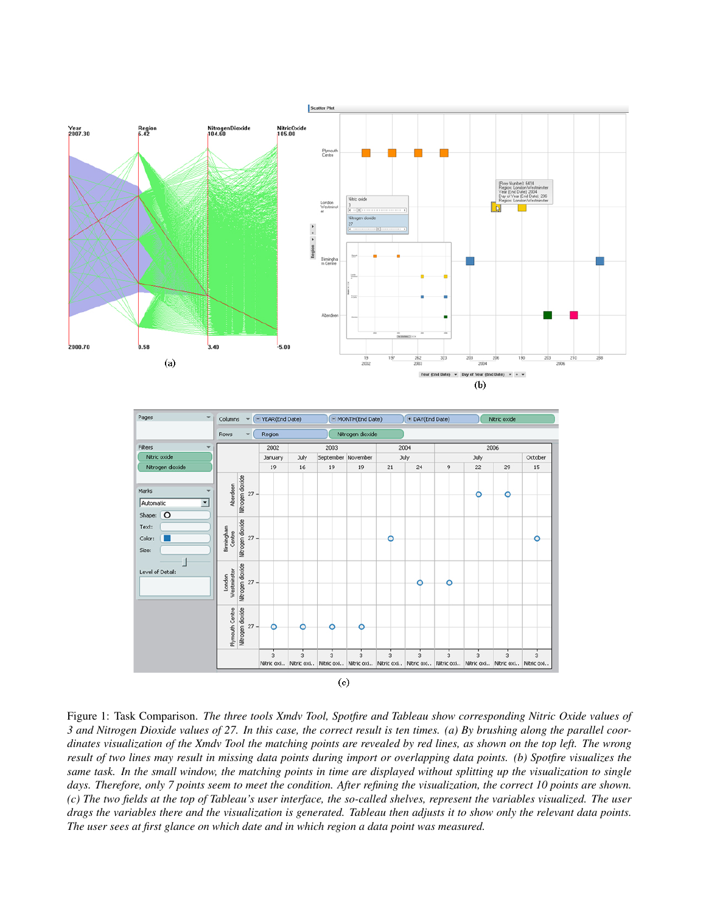



<span id="page-3-0"></span>Figure 1: Task Comparison. *The three tools Xmdv Tool, Spotfire and Tableau show corresponding Nitric Oxide values of 3 and Nitrogen Dioxide values of 27. In this case, the correct result is ten times. (a) By brushing along the parallel coordinates visualization of the Xmdv Tool the matching points are revealed by red lines, as shown on the top left. The wrong result of two lines may result in missing data points during import or overlapping data points. (b) Spotfire visualizes the same task. In the small window, the matching points in time are displayed without splitting up the visualization to single days. Therefore, only 7 points seem to meet the condition. After refining the visualization, the correct 10 points are shown. (c) The two fields at the top of Tableau's user interface, the so-called shelves, represent the variables visualized. The user drags the variables there and the visualization is generated. Tableau then adjusts it to show only the relevant data points. The user sees at first glance on which date and in which region a data point was measured.*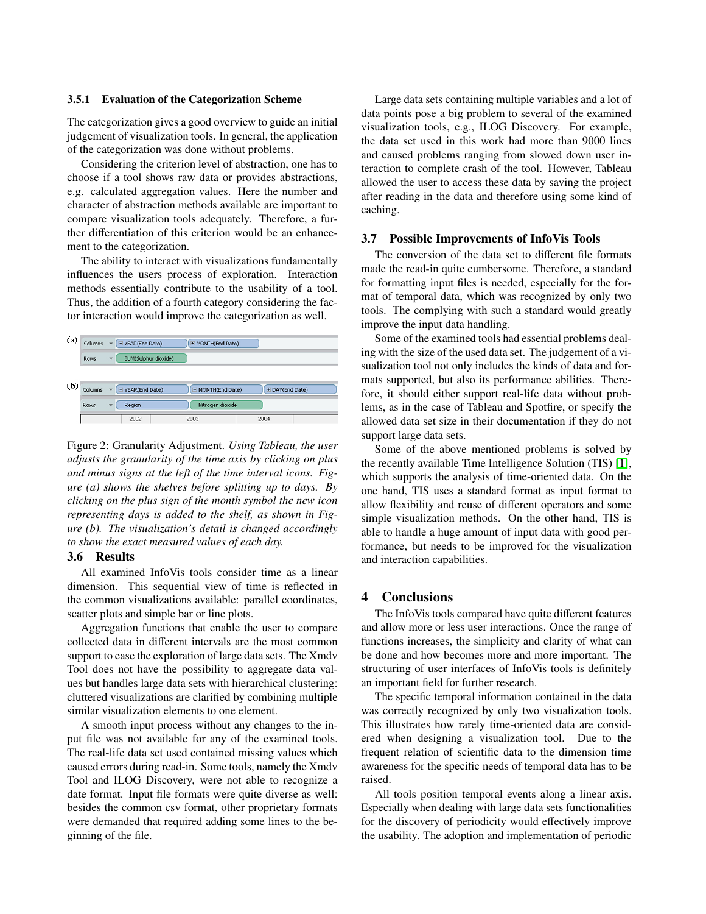### 3.5.1 Evaluation of the Categorization Scheme

The categorization gives a good overview to guide an initial judgement of visualization tools. In general, the application of the categorization was done without problems.

Considering the criterion level of abstraction, one has to choose if a tool shows raw data or provides abstractions, e.g. calculated aggregation values. Here the number and character of abstraction methods available are important to compare visualization tools adequately. Therefore, a further differentiation of this criterion would be an enhancement to the categorization.

The ability to interact with visualizations fundamentally influences the users process of exploration. Interaction methods essentially contribute to the usability of a tool. Thus, the addition of a fourth category considering the factor interaction would improve the categorization as well.



<span id="page-4-0"></span>Figure 2: Granularity Adjustment. *Using Tableau, the user adjusts the granularity of the time axis by clicking on plus and minus signs at the left of the time interval icons. Figure (a) shows the shelves before splitting up to days. By clicking on the plus sign of the month symbol the new icon representing days is added to the shelf, as shown in Figure (b). The visualization's detail is changed accordingly to show the exact measured values of each day.*

### 3.6 Results

All examined InfoVis tools consider time as a linear dimension. This sequential view of time is reflected in the common visualizations available: parallel coordinates, scatter plots and simple bar or line plots.

Aggregation functions that enable the user to compare collected data in different intervals are the most common support to ease the exploration of large data sets. The Xmdv Tool does not have the possibility to aggregate data values but handles large data sets with hierarchical clustering: cluttered visualizations are clarified by combining multiple similar visualization elements to one element.

A smooth input process without any changes to the input file was not available for any of the examined tools. The real-life data set used contained missing values which caused errors during read-in. Some tools, namely the Xmdv Tool and ILOG Discovery, were not able to recognize a date format. Input file formats were quite diverse as well: besides the common csv format, other proprietary formats were demanded that required adding some lines to the beginning of the file.

Large data sets containing multiple variables and a lot of data points pose a big problem to several of the examined visualization tools, e.g., ILOG Discovery. For example, the data set used in this work had more than 9000 lines and caused problems ranging from slowed down user interaction to complete crash of the tool. However, Tableau allowed the user to access these data by saving the project after reading in the data and therefore using some kind of caching.

#### 3.7 Possible Improvements of InfoVis Tools

The conversion of the data set to different file formats made the read-in quite cumbersome. Therefore, a standard for formatting input files is needed, especially for the format of temporal data, which was recognized by only two tools. The complying with such a standard would greatly improve the input data handling.

Some of the examined tools had essential problems dealing with the size of the used data set. The judgement of a visualization tool not only includes the kinds of data and formats supported, but also its performance abilities. Therefore, it should either support real-life data without problems, as in the case of Tableau and Spotfire, or specify the allowed data set size in their documentation if they do not support large data sets.

Some of the above mentioned problems is solved by the recently available Time Intelligence Solution (TIS) [\[1\]](#page-5-14), which supports the analysis of time-oriented data. On the one hand, TIS uses a standard format as input format to allow flexibility and reuse of different operators and some simple visualization methods. On the other hand, TIS is able to handle a huge amount of input data with good performance, but needs to be improved for the visualization and interaction capabilities.

# 4 Conclusions

The InfoVis tools compared have quite different features and allow more or less user interactions. Once the range of functions increases, the simplicity and clarity of what can be done and how becomes more and more important. The structuring of user interfaces of InfoVis tools is definitely an important field for further research.

The specific temporal information contained in the data was correctly recognized by only two visualization tools. This illustrates how rarely time-oriented data are considered when designing a visualization tool. Due to the frequent relation of scientific data to the dimension time awareness for the specific needs of temporal data has to be raised.

All tools position temporal events along a linear axis. Especially when dealing with large data sets functionalities for the discovery of periodicity would effectively improve the usability. The adoption and implementation of periodic